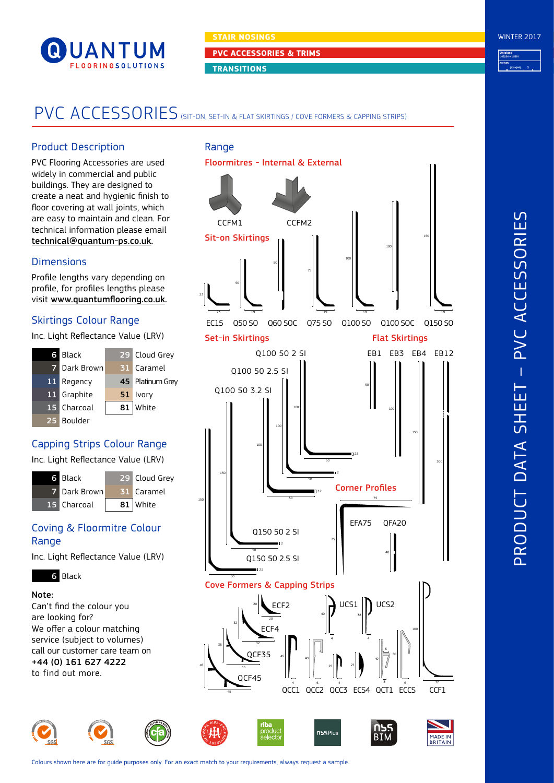

**PVC ACCESSORIES & TRIMS**

**TRANSITIONS**

# PVC ACCESSORIES (SIT-ON, SET-IN & FLAT SKIRTINGS / COVE FORMERS & CAPPING STRIPS)

# Product Description

PVC Flooring Accessories are used widely in commercial and public buildings. They are designed to create a neat and hygienic finish to floor covering at wall joints, which are easy to maintain and clean. For technical information please email [technical@quantum-ps.co.uk.](mailto:technical%40quantum-ps.co.uk?subject=)

# **Dimensions**

Profile lengths vary depending on profile, for profiles lengths please visit [www.quantumflooring.co.uk](http://www.quantumflooring.co.uk).

# Skirtings Colour Range

Inc. Light Reflectance Value (LRV)

| 6  | Black       |     | 29 Cloud Grey    |  |
|----|-------------|-----|------------------|--|
| 7  | Dark Brown  |     | 31 Caramel       |  |
| 11 | Regency     |     | 45 Platinum Grey |  |
|    | 11 Graphite | 51. | Ivory            |  |
|    | 15 Charcoal |     | $81$ White       |  |
| 25 | Boulder     |     |                  |  |

# Capping Strips Colour Range

Inc. Light Reflectance Value (LRV)



# Coving & Floormitre Colour **Range**

Inc. Light Reflectance Value (LRV)

# 6 Black

#### Note:

Can't find the colour you are looking for? We offer a colour matching service (subject to volumes) call our customer care team on +44 (0) 161 627 4222 to find out more.







Colours shown here are for guide purposes only. For an exact match to your requirements, always request a sample.

**Uniclass CI/SfB** L43224 + L5391  $(43) \cdot (44)$   $\cdot$ 

WINTER 2017